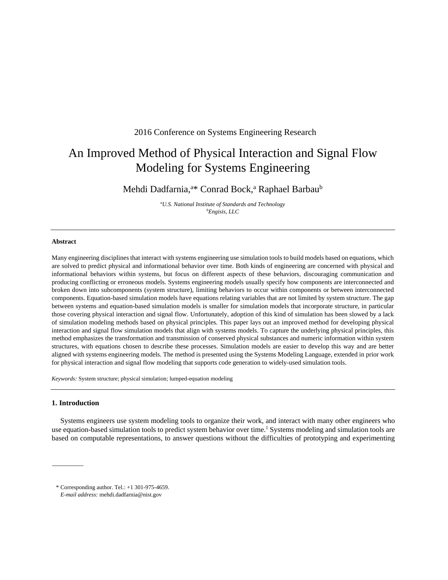# 2016 Conference on Systems Engineering Research

# An Improved Method of Physical Interaction and Signal Flow Modeling for Systems Engineering

Mehdi Dadfarnia,<sup>a\*</sup> Conrad Bock,<sup>a</sup> Raphael Barbau<sup>b</sup>

*a U.S. National Institute of Standards and Technology b Engisis, LLC* 

# **Abstract**

Many engineering disciplines that interact with systems engineering use simulation tools to build models based on equations, which are solved to predict physical and informational behavior over time. Both kinds of engineering are concerned with physical and informational behaviors within systems, but focus on different aspects of these behaviors, discouraging communication and producing conflicting or erroneous models. Systems engineering models usually specify how components are interconnected and broken down into subcomponents (system structure), limiting behaviors to occur within components or between interconnected components. Equation-based simulation models have equations relating variables that are not limited by system structure. The gap between systems and equation-based simulation models is smaller for simulation models that incorporate structure, in particular those covering physical interaction and signal flow. Unfortunately, adoption of this kind of simulation has been slowed by a lack of simulation modeling methods based on physical principles. This paper lays out an improved method for developing physical interaction and signal flow simulation models that align with systems models. To capture the underlying physical principles, this method emphasizes the transformation and transmission of conserved physical substances and numeric information within system structures, with equations chosen to describe these processes. Simulation models are easier to develop this way and are better aligned with systems engineering models. The method is presented using the Systems Modeling Language, extended in prior work for physical interaction and signal flow modeling that supports code generation to widely-used simulation tools.

*Keywords:* System structure; physical simulation; lumped-equation modeling

# **1. Introduction**

Systems engineers use system modeling tools to organize their work, and interact with many other engineers who use equation-based simulation tools to predict system behavior over time.<sup>1</sup> Systems modeling and simulation tools are based on computable representations, to answer questions without the difficulties of prototyping and experimenting

<sup>\*</sup> Corresponding author. Tel.: +1 301-975-4659.

*E-mail address:* mehdi.dadfarnia@nist.gov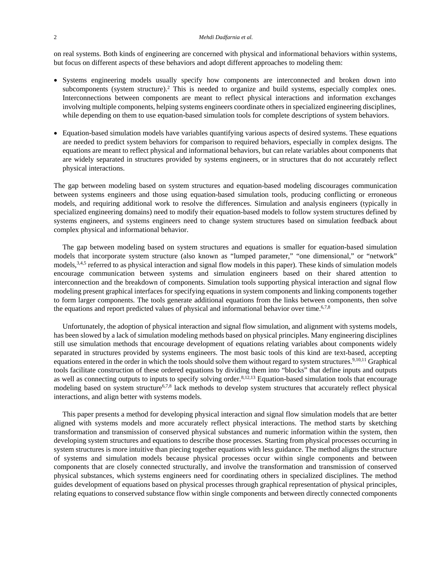on real systems. Both kinds of engineering are concerned with physical and informational behaviors within systems, but focus on different aspects of these behaviors and adopt different approaches to modeling them:

- Systems engineering models usually specify how components are interconnected and broken down into subcomponents (system structure).<sup>2</sup> This is needed to organize and build systems, especially complex ones. Interconnections between components are meant to reflect physical interactions and information exchanges involving multiple components, helping systems engineers coordinate others in specialized engineering disciplines, while depending on them to use equation-based simulation tools for complete descriptions of system behaviors.
- Equation-based simulation models have variables quantifying various aspects of desired systems. These equations are needed to predict system behaviors for comparison to required behaviors, especially in complex designs. The equations are meant to reflect physical and informational behaviors, but can relate variables about components that are widely separated in structures provided by systems engineers, or in structures that do not accurately reflect physical interactions.

The gap between modeling based on system structures and equation-based modeling discourages communication between systems engineers and those using equation-based simulation tools, producing conflicting or erroneous models, and requiring additional work to resolve the differences. Simulation and analysis engineers (typically in specialized engineering domains) need to modify their equation-based models to follow system structures defined by systems engineers, and systems engineers need to change system structures based on simulation feedback about complex physical and informational behavior.

The gap between modeling based on system structures and equations is smaller for equation-based simulation models that incorporate system structure (also known as "lumped parameter," "one dimensional," or "network" models,<sup>3,4,5</sup> referred to as physical interaction and signal flow models in this paper). These kinds of simulation models encourage communication between systems and simulation engineers based on their shared attention to interconnection and the breakdown of components. Simulation tools supporting physical interaction and signal flow modeling present graphical interfaces for specifying equations in system components and linking components together to form larger components. The tools generate additional equations from the links between components, then solve the equations and report predicted values of physical and informational behavior over time.<sup>6,7,8</sup>

Unfortunately, the adoption of physical interaction and signal flow simulation, and alignment with systems models, has been slowed by a lack of simulation modeling methods based on physical principles. Many engineering disciplines still use simulation methods that encourage development of equations relating variables about components widely separated in structures provided by systems engineers. The most basic tools of this kind are text-based, accepting equations entered in the order in which the tools should solve them without regard to system structures.<sup>9,10,11</sup> Graphical tools facilitate construction of these ordered equations by dividing them into "blocks" that define inputs and outputs as well as connecting outputs to inputs to specify solving order.<sup>8,12,13</sup> Equation-based simulation tools that encourage modeling based on system structure<sup>6,7,8</sup> lack methods to develop system structures that accurately reflect physical interactions, and align better with systems models.

This paper presents a method for developing physical interaction and signal flow simulation models that are better aligned with systems models and more accurately reflect physical interactions. The method starts by sketching transformation and transmission of conserved physical substances and numeric information within the system, then developing system structures and equations to describe those processes. Starting from physical processes occurring in system structures is more intuitive than piecing together equations with less guidance. The method aligns the structure of systems and simulation models because physical processes occur within single components and between components that are closely connected structurally, and involve the transformation and transmission of conserved physical substances, which systems engineers need for coordinating others in specialized disciplines. The method guides development of equations based on physical processes through graphical representation of physical principles, relating equations to conserved substance flow within single components and between directly connected components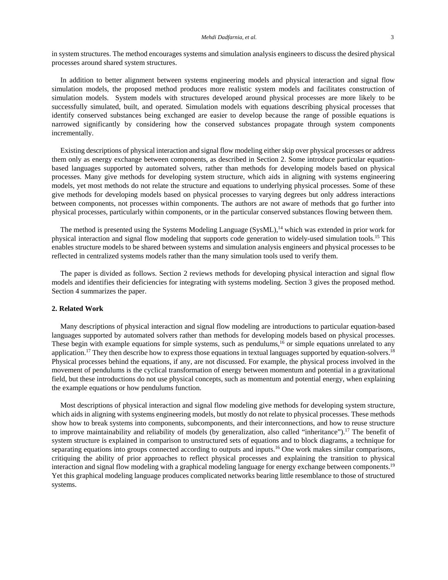in system structures. The method encourages systems and simulation analysis engineers to discuss the desired physical processes around shared system structures.

In addition to better alignment between systems engineering models and physical interaction and signal flow simulation models, the proposed method produces more realistic system models and facilitates construction of simulation models. System models with structures developed around physical processes are more likely to be successfully simulated, built, and operated. Simulation models with equations describing physical processes that identify conserved substances being exchanged are easier to develop because the range of possible equations is narrowed significantly by considering how the conserved substances propagate through system components incrementally.

Existing descriptions of physical interaction and signal flow modeling either skip over physical processes or address them only as energy exchange between components, as described in Section 2. Some introduce particular equationbased languages supported by automated solvers, rather than methods for developing models based on physical processes. Many give methods for developing system structure, which aids in aligning with systems engineering models, yet most methods do not relate the structure and equations to underlying physical processes. Some of these give methods for developing models based on physical processes to varying degrees but only address interactions between components, not processes within components. The authors are not aware of methods that go further into physical processes, particularly within components, or in the particular conserved substances flowing between them.

The method is presented using the Systems Modeling Language (SysML),<sup>14</sup> which was extended in prior work for physical interaction and signal flow modeling that supports code generation to widely-used simulation tools.15 This enables structure models to be shared between systems and simulation analysis engineers and physical processes to be reflected in centralized systems models rather than the many simulation tools used to verify them.

The paper is divided as follows. Section 2 reviews methods for developing physical interaction and signal flow models and identifies their deficiencies for integrating with systems modeling. Section 3 gives the proposed method. Section 4 summarizes the paper.

## **2. Related Work**

Many descriptions of physical interaction and signal flow modeling are introductions to particular equation-based languages supported by automated solvers rather than methods for developing models based on physical processes. These begin with example equations for simple systems, such as pendulums,<sup>16</sup> or simple equations unrelated to any application.<sup>17</sup> They then describe how to express those equations in textual languages supported by equation-solvers.<sup>18</sup> Physical processes behind the equations, if any, are not discussed. For example, the physical process involved in the movement of pendulums is the cyclical transformation of energy between momentum and potential in a gravitational field, but these introductions do not use physical concepts, such as momentum and potential energy, when explaining the example equations or how pendulums function.

Most descriptions of physical interaction and signal flow modeling give methods for developing system structure, which aids in aligning with systems engineering models, but mostly do not relate to physical processes. These methods show how to break systems into components, subcomponents, and their interconnections, and how to reuse structure to improve maintainability and reliability of models (by generalization, also called "inheritance").17 The benefit of system structure is explained in comparison to unstructured sets of equations and to block diagrams, a technique for separating equations into groups connected according to outputs and inputs.<sup>16</sup> One work makes similar comparisons, critiquing the ability of prior approaches to reflect physical processes and explaining the transition to physical interaction and signal flow modeling with a graphical modeling language for energy exchange between components.<sup>19</sup> Yet this graphical modeling language produces complicated networks bearing little resemblance to those of structured systems.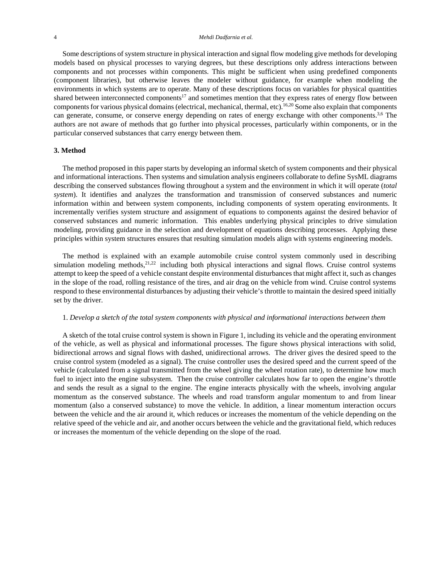Some descriptions of system structure in physical interaction and signal flow modeling give methods for developing models based on physical processes to varying degrees, but these descriptions only address interactions between components and not processes within components. This might be sufficient when using predefined components (component libraries), but otherwise leaves the modeler without guidance, for example when modeling the environments in which systems are to operate. Many of these descriptions focus on variables for physical quantities shared between interconnected components<sup>17</sup> and sometimes mention that they express rates of energy flow between components for various physical domains (electrical, mechanical, thermal, etc).16,20 Some also explain that components can generate, consume, or conserve energy depending on rates of energy exchange with other components.3,6 The authors are not aware of methods that go further into physical processes, particularly within components, or in the particular conserved substances that carry energy between them.

#### **3. Method**

The method proposed in this paper starts by developing an informal sketch of system components and their physical and informational interactions. Then systems and simulation analysis engineers collaborate to define SysML diagrams describing the conserved substances flowing throughout a system and the environment in which it will operate (*total system*). It identifies and analyzes the transformation and transmission of conserved substances and numeric information within and between system components, including components of system operating environments. It incrementally verifies system structure and assignment of equations to components against the desired behavior of conserved substances and numeric information. This enables underlying physical principles to drive simulation modeling, providing guidance in the selection and development of equations describing processes. Applying these principles within system structures ensures that resulting simulation models align with systems engineering models.

The method is explained with an example automobile cruise control system commonly used in describing simulation modeling methods, $2^{1,22}$  including both physical interactions and signal flows. Cruise control systems attempt to keep the speed of a vehicle constant despite environmental disturbances that might affect it, such as changes in the slope of the road, rolling resistance of the tires, and air drag on the vehicle from wind. Cruise control systems respond to these environmental disturbances by adjusting their vehicle's throttle to maintain the desired speed initially set by the driver.

## 1. *Develop a sketch of the total system components with physical and informational interactions between them*

A sketch of the total cruise control system is shown in Figure 1, including its vehicle and the operating environment of the vehicle, as well as physical and informational processes. The figure shows physical interactions with solid, bidirectional arrows and signal flows with dashed, unidirectional arrows. The driver gives the desired speed to the cruise control system (modeled as a signal). The cruise controller uses the desired speed and the current speed of the vehicle (calculated from a signal transmitted from the wheel giving the wheel rotation rate), to determine how much fuel to inject into the engine subsystem. Then the cruise controller calculates how far to open the engine's throttle and sends the result as a signal to the engine. The engine interacts physically with the wheels, involving angular momentum as the conserved substance. The wheels and road transform angular momentum to and from linear momentum (also a conserved substance) to move the vehicle. In addition, a linear momentum interaction occurs between the vehicle and the air around it, which reduces or increases the momentum of the vehicle depending on the relative speed of the vehicle and air, and another occurs between the vehicle and the gravitational field, which reduces or increases the momentum of the vehicle depending on the slope of the road.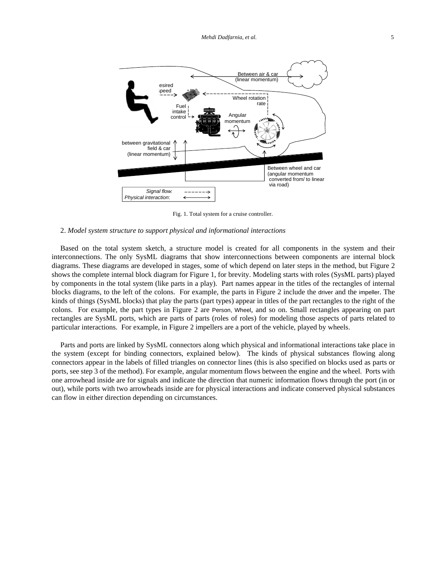

Fig. 1. Total system for a cruise controller.

## 2. *Model system structure to support physical and informational interactions*

Based on the total system sketch, a structure model is created for all components in the system and their interconnections. The only SysML diagrams that show interconnections between components are internal block diagrams. These diagrams are developed in stages, some of which depend on later steps in the method, but Figure 2 shows the complete internal block diagram for Figure 1, for brevity. Modeling starts with roles (SysML parts) played by components in the total system (like parts in a play). Part names appear in the titles of the rectangles of internal blocks diagrams, to the left of the colons. For example, the parts in Figure 2 include the driver and the impeller. The kinds of things (SysML blocks) that play the parts (part types) appear in titles of the part rectangles to the right of the colons. For example, the part types in Figure 2 are Person, Wheel, and so on. Small rectangles appearing on part rectangles are SysML ports, which are parts of parts (roles of roles) for modeling those aspects of parts related to particular interactions. For example, in Figure 2 impellers are a port of the vehicle, played by wheels.

Parts and ports are linked by SysML connectors along which physical and informational interactions take place in the system (except for binding connectors, explained below). The kinds of physical substances flowing along connectors appear in the labels of filled triangles on connector lines (this is also specified on blocks used as parts or ports, see step 3 of the method). For example, angular momentum flows between the engine and the wheel. Ports with one arrowhead inside are for signals and indicate the direction that numeric information flows through the port (in or out), while ports with two arrowheads inside are for physical interactions and indicate conserved physical substances can flow in either direction depending on circumstances.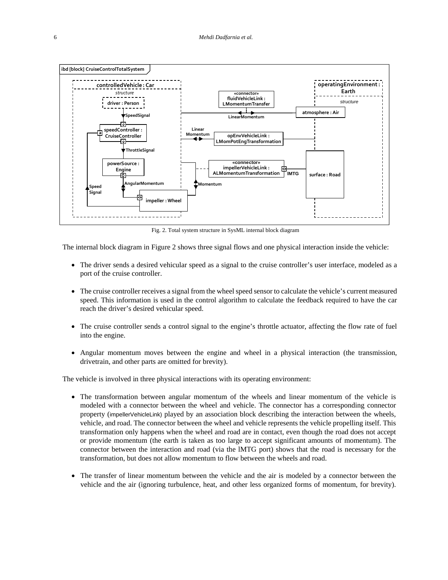

Fig. 2. Total system structure in SysML internal block diagram

The internal block diagram in Figure 2 shows three signal flows and one physical interaction inside the vehicle:

- The driver sends a desired vehicular speed as a signal to the cruise controller's user interface, modeled as a port of the cruise controller.
- The cruise controller receives a signal from the wheel speed sensor to calculate the vehicle's current measured speed. This information is used in the control algorithm to calculate the feedback required to have the car reach the driver's desired vehicular speed.
- The cruise controller sends a control signal to the engine's throttle actuator, affecting the flow rate of fuel into the engine.
- Angular momentum moves between the engine and wheel in a physical interaction (the transmission, drivetrain, and other parts are omitted for brevity).

The vehicle is involved in three physical interactions with its operating environment:

- The transformation between angular momentum of the wheels and linear momentum of the vehicle is modeled with a connector between the wheel and vehicle. The connector has a corresponding connector property (impellerVehicleLink) played by an association block describing the interaction between the wheels, vehicle, and road. The connector between the wheel and vehicle represents the vehicle propelling itself. This transformation only happens when the wheel and road are in contact, even though the road does not accept or provide momentum (the earth is taken as too large to accept significant amounts of momentum). The connector between the interaction and road (via the lMTG port) shows that the road is necessary for the transformation, but does not allow momentum to flow between the wheels and road.
- The transfer of linear momentum between the vehicle and the air is modeled by a connector between the vehicle and the air (ignoring turbulence, heat, and other less organized forms of momentum, for brevity).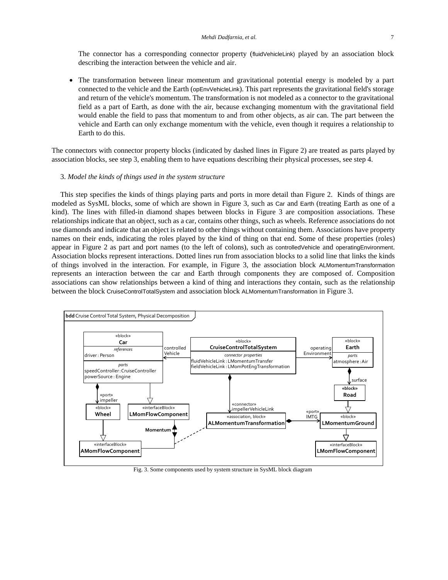The connector has a corresponding connector property (fluidVehicleLink) played by an association block describing the interaction between the vehicle and air.

• The transformation between linear momentum and gravitational potential energy is modeled by a part connected to the vehicle and the Earth (opEnvVehicleLink). This part represents the gravitational field's storage and return of the vehicle's momentum. The transformation is not modeled as a connector to the gravitational field as a part of Earth, as done with the air, because exchanging momentum with the gravitational field would enable the field to pass that momentum to and from other objects, as air can. The part between the vehicle and Earth can only exchange momentum with the vehicle, even though it requires a relationship to Earth to do this.

The connectors with connector property blocks (indicated by dashed lines in Figure 2) are treated as parts played by association blocks, see step 3, enabling them to have equations describing their physical processes, see step 4.

#### 3. *Model the kinds of things used in the system structure*

This step specifies the kinds of things playing parts and ports in more detail than Figure 2. Kinds of things are modeled as SysML blocks, some of which are shown in Figure 3, such as Car and Earth (treating Earth as one of a kind). The lines with filled-in diamond shapes between blocks in Figure 3 are composition associations. These relationships indicate that an object, such as a car, contains other things, such as wheels. Reference associations do not use diamonds and indicate that an object is related to other things without containing them. Associations have property names on their ends, indicating the roles played by the kind of thing on that end. Some of these properties (roles) appear in Figure 2 as part and port names (to the left of colons), such as controlledVehicle and operatingEnvironment. Association blocks represent interactions. Dotted lines run from association blocks to a solid line that links the kinds of things involved in the interaction. For example, in Figure 3, the association block ALMomentumTransformation represents an interaction between the car and Earth through components they are composed of. Composition associations can show relationships between a kind of thing and interactions they contain, such as the relationship between the block CruiseControlTotalSystem and association block ALMomentumTransformation in Figure 3.



Fig. 3. Some components used by system structure in SysML block diagram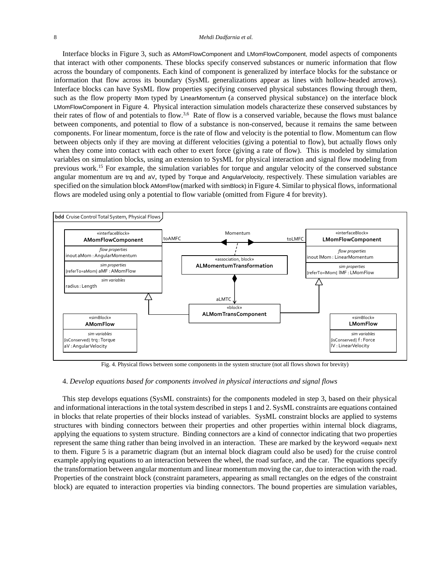#### 8 *Mehdi Dadfarnia et al.*

Interface blocks in Figure 3, such as AMomFlowComponent and LMomFlowComponent, model aspects of components that interact with other components. These blocks specify conserved substances or numeric information that flow across the boundary of components. Each kind of component is generalized by interface blocks for the substance or information that flow across its boundary (SysML generalizations appear as lines with hollow-headed arrows). Interface blocks can have SysML flow properties specifying conserved physical substances flowing through them, such as the flow property lMom typed by LinearMomentum (a conserved physical substance) on the interface block LMomFlowComponent in Figure 4. Physical interaction simulation models characterize these conserved substances by their rates of flow of and potentials to flow.<sup>3,6</sup> Rate of flow is a conserved variable, because the flows must balance between components, and potential to flow of a substance is non-conserved, because it remains the same between components. For linear momentum, force is the rate of flow and velocity is the potential to flow. Momentum can flow between objects only if they are moving at different velocities (giving a potential to flow), but actually flows only when they come into contact with each other to exert force (giving a rate of flow). This is modeled by simulation variables on simulation blocks, using an extension to SysML for physical interaction and signal flow modeling from previous work.15 For example, the simulation variables for torque and angular velocity of the conserved substance angular momentum are trq and aV, typed by Torque and AngularVelocity, respectively. These simulation variables are specified on the simulation block AMomFlow (marked with simBlock) in Figure 4. Similar to physical flows, informational flows are modeled using only a potential to flow variable (omitted from Figure 4 for brevity).



Fig. 4. Physical flows between some components in the system structure (not all flows shown for brevity)

#### 4. *Develop equations based for components involved in physical interactions and signal flows*

This step develops equations (SysML constraints) for the components modeled in step 3, based on their physical and informational interactions in the total system described in steps 1 and 2. SysML constraints are equations contained in blocks that relate properties of their blocks instead of variables. SysML constraint blocks are applied to systems structures with binding connectors between their properties and other properties within internal block diagrams, applying the equations to system structure. Binding connectors are a kind of connector indicating that two properties represent the same thing rather than being involved in an interaction. These are marked by the keyword «equal» next to them. Figure 5 is a parametric diagram (but an internal block diagram could also be used) for the cruise control example applying equations to an interaction between the wheel, the road surface, and the car. The equations specify the transformation between angular momentum and linear momentum moving the car, due to interaction with the road. Properties of the constraint block (constraint parameters, appearing as small rectangles on the edges of the constraint block) are equated to interaction properties via binding connectors. The bound properties are simulation variables,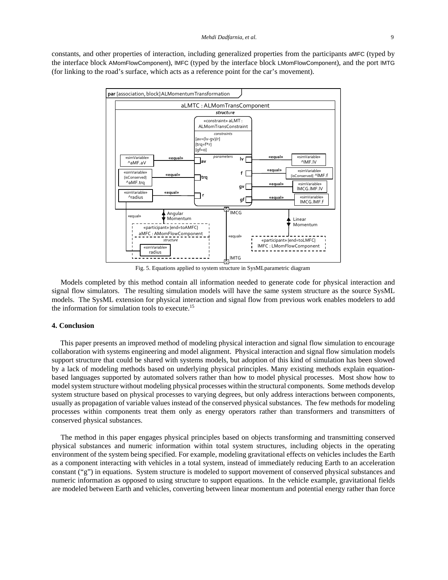constants, and other properties of interaction, including generalized properties from the participants aMFC (typed by the interface block AMomFlowComponent), lMFC (typed by the interface block LMomFlowComponent), and the port lMTG (for linking to the road's surface, which acts as a reference point for the car's movement).



Fig. 5. Equations applied to system structure in SysMLparametric diagram

Models completed by this method contain all information needed to generate code for physical interaction and signal flow simulators. The resulting simulation models will have the same system structure as the source SysML models. The SysML extension for physical interaction and signal flow from previous work enables modelers to add the information for simulation tools to execute.15

## **4. Conclusion**

This paper presents an improved method of modeling physical interaction and signal flow simulation to encourage collaboration with systems engineering and model alignment. Physical interaction and signal flow simulation models support structure that could be shared with systems models, but adoption of this kind of simulation has been slowed by a lack of modeling methods based on underlying physical principles. Many existing methods explain equationbased languages supported by automated solvers rather than how to model physical processes. Most show how to model system structure without modeling physical processes within the structural components. Some methods develop system structure based on physical processes to varying degrees, but only address interactions between components, usually as propagation of variable values instead of the conserved physical substances. The few methods for modeling processes within components treat them only as energy operators rather than transformers and transmitters of conserved physical substances.

The method in this paper engages physical principles based on objects transforming and transmitting conserved physical substances and numeric information within total system structures, including objects in the operating environment of the system being specified. For example, modeling gravitational effects on vehicles includes the Earth as a component interacting with vehicles in a total system, instead of immediately reducing Earth to an acceleration constant ("g") in equations. System structure is modeled to support movement of conserved physical substances and numeric information as opposed to using structure to support equations. In the vehicle example, gravitational fields are modeled between Earth and vehicles, converting between linear momentum and potential energy rather than force